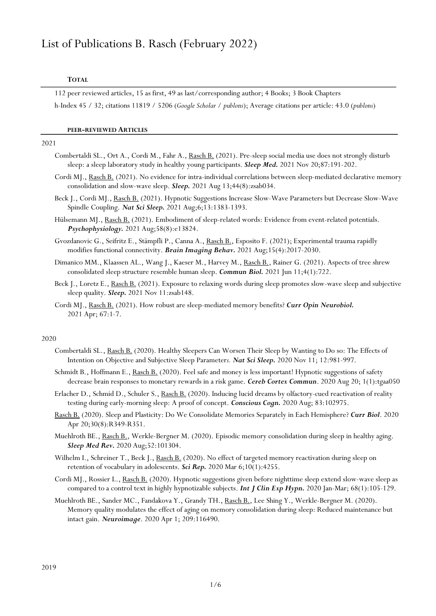# List of Publications B. Rasch (February 2022)

## TOTAL

112 peer reviewed articles, 15 as first, 49 as last/corresponding author; 4 Books; 3 Book Chapters h-Index 45 / 32; citations 11819 / 5206 (Google Scholar / publons); Average citations per article: 43.0 (publons)

## PEER-REVIEWED ARTICLES

#### 2021

- Combertaldi SL., Ort A., Cordi M., Fahr A., Rasch B. (2021). Pre-sleep social media use does not strongly disturb sleep: a sleep laboratory study in healthy young participants. Sleep Med. 2021 Nov 20;87:191-202.
- Cordi MJ., Rasch B. (2021). No evidence for intra-individual correlations between sleep-mediated declarative memory consolidation and slow-wave sleep. Sleep. 2021 Aug 13;44(8):zsab034.
- Beck J., Cordi MJ., Rasch B. (2021). Hypnotic Suggestions Increase Slow-Wave Parameters but Decrease Slow-Wave Spindle Coupling. Nat Sci Sleep. 2021 Aug;6;13:1383-1393.
- Hülsemann MJ., Rasch B. (2021). Embodiment of sleep-related words: Evidence from event-related potentials. Psychophysiology. 2021 Aug;58(8):e13824.
- Gvozdanovic G., Seifritz E., Stämpfli P., Canna A., Rasch B., Esposito F. (2021); Experimental trauma rapidly modifies functional connectivity. Brain Imaging Behav. 2021 Aug;15(4):2017-2030.
- Dimanico MM., Klaassen AL., Wang J., Kaeser M., Harvey M., Rasch B., Rainer G. (2021). Aspects of tree shrew consolidated sleep structure resemble human sleep. Commun Biol. 2021 Jun 11;4(1):722.
- Beck J., Loretz E., Rasch B. (2021). Exposure to relaxing words during sleep promotes slow-wave sleep and subjective sleep quality. **Sleep.** 2021 Nov 11:zsab148.
- Cordi MJ., Rasch B. (2021). How robust are sleep-mediated memory benefits? Curr Opin Neurobiol. 2021 Apr; 67:1-7.

## 2020

- Combertaldi SL., Rasch B. (2020). Healthy Sleepers Can Worsen Their Sleep by Wanting to Do so: The Effects of Intention on Objective and Subjective Sleep Parameters. Nat Sci Sleep. 2020 Nov 11; 12:981-997.
- Schmidt B., Hoffmann E., Rasch B. (2020). Feel safe and money is less important! Hypnotic suggestions of safety decrease brain responses to monetary rewards in a risk game. Cereb Cortex Commun. 2020 Aug 20; 1(1):tgaa050
- Erlacher D., Schmid D., Schuler S., Rasch B. (2020). Inducing lucid dreams by olfactory-cued reactivation of reality testing during early-morning sleep: A proof of concept. Conscious Cogn. 2020 Aug; 83:102975.
- Rasch B. (2020). Sleep and Plasticity: Do We Consolidate Memories Separately in Each Hemisphere? Curr Biol. 2020 Apr 20;30(8):R349-R351.
- Muehlroth BE., Rasch B., Werkle-Bergner M. (2020). Episodic memory consolidation during sleep in healthy aging. Sleep Med Rev. 2020 Aug;52:101304.
- Wilhelm I., Schreiner T., Beck J., Rasch B. (2020). No effect of targeted memory reactivation during sleep on retention of vocabulary in adolescents. Sci Rep. 2020 Mar 6;10(1):4255.
- Cordi MJ., Rossier L., Rasch B. (2020). Hypnotic suggestions given before nighttime sleep extend slow-wave sleep as compared to a control text in highly hypnotizable subjects. **Int J Clin Exp Hypn.** 2020 Jan-Mar;  $68(1):105-129$ .
- Muehlroth BE., Sander MC., Fandakova Y., Grandy TH., Rasch B., Lee Shing Y., Werkle-Bergner M. (2020). Memory quality modulates the effect of aging on memory consolidation during sleep: Reduced maintenance but intact gain. Neuroimage. 2020 Apr 1; 209:116490.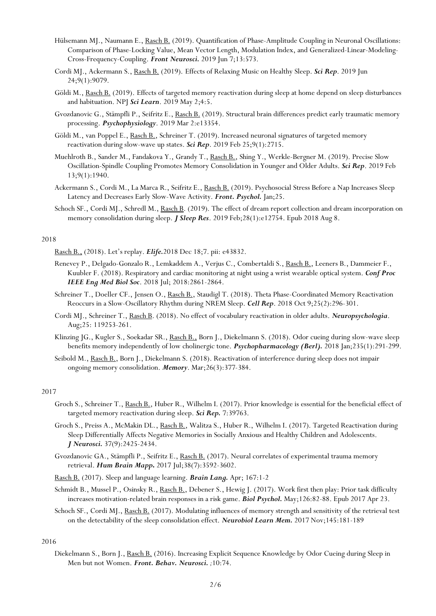- Hülsemann MJ., Naumann E., Rasch B. (2019). Quantification of Phase-Amplitude Coupling in Neuronal Oscillations: Comparison of Phase-Locking Value, Mean Vector Length, Modulation Index, and Generalized-Linear-Modeling-Cross-Frequency-Coupling. Front Neurosci. 2019 Jun 7;13:573.
- Cordi MJ., Ackermann S., Rasch B. (2019). Effects of Relaxing Music on Healthy Sleep. Sci Rep. 2019 Jun 24;9(1):9079.
- Göldi M., Rasch B. (2019). Effects of targeted memory reactivation during sleep at home depend on sleep disturbances and habituation. NPJ Sci Learn. 2019 May 2;4:5.
- Gvozdanovic G., Stämpfli P., Seifritz E., Rasch B. (2019). Structural brain differences predict early traumatic memory processing. Psychophysiology. 2019 Mar 2:e13354.
- Göldi M., van Poppel E., Rasch B., Schreiner T. (2019). Increased neuronal signatures of targeted memory reactivation during slow-wave up states. Sci Rep. 2019 Feb 25;9(1):2715.
- Muehlroth B., Sander M., Fandakova Y., Grandy T., Rasch B., Shing Y., Werkle-Bergner M. (2019). Precise Slow Oscillation-Spindle Coupling Promotes Memory Consolidation in Younger and Older Adults. Sci Rep. 2019 Feb 13;9(1):1940.
- Ackermann S., Cordi M., La Marca R., Seifritz E., Rasch B. (2019). Psychosocial Stress Before a Nap Increases Sleep Latency and Decreases Early Slow-Wave Activity. Front. Psychol. Jan;25.
- Schoch SF., Cordi MJ., Schredl M., Rasch B. (2019). The effect of dream report collection and dream incorporation on memory consolidation during sleep. *J Sleep Res.* 2019 Feb; 28(1): e12754. Epub 2018 Aug 8.

Rasch B., (2018). Let's replay. Elife.2018 Dec 18;7. pii: e43832.

- Renevey P., Delgado-Gonzalo R., Lemkaddem A., Verjus C., Combertaldi S., Rasch B., Leeners B., Dammeier F., Kuubler F. (2018). Respiratory and cardiac monitoring at night using a wrist wearable optical system. Conf Proc IEEE Eng Med Biol Soc. 2018 Jul; 2018:2861-2864.
- Schreiner T., Doeller CF., Jensen O., Rasch B., Staudigl T. (2018). Theta Phase-Coordinated Memory Reactivation Reoccurs in a Slow-Oscillatory Rhythm during NREM Sleep. Cell Rep. 2018 Oct 9;25(2):296-301.
- Cordi MJ., Schreiner T., Rasch B. (2018). No effect of vocabulary reactivation in older adults. Neuropsychologia. Aug;25: 119253-261.
- Klinzing JG., Kugler S., Soekadar SR., Rasch B., Born J., Diekelmann S. (2018). Odor cueing during slow-wave sleep benefits memory independently of low cholinergic tone. Psychopharmacology (Berl). 2018 Jan;235(1):291-299.
- Seibold M., Rasch B., Born J., Diekelmann S. (2018). Reactivation of interference during sleep does not impair ongoing memory consolidation. Memory. Mar;26(3):377-384.

## 2017

- Groch S., Schreiner T., Rasch B., Huber R., Wilhelm I. (2017). Prior knowledge is essential for the beneficial effect of targeted memory reactivation during sleep. Sci Rep. 7:39763.
- Groch S., Preiss A., McMakin DL., Rasch B., Walitza S., Huber R., Wilhelm I. (2017). Targeted Reactivation during Sleep Differentially Affects Negative Memories in Socially Anxious and Healthy Children and Adolescents. J Neurosci. 37(9):2425-2434.
- Gvozdanovic GA., Stämpfli P., Seifritz E., Rasch B. (2017). Neural correlates of experimental trauma memory retrieval. Hum Brain Mapp. 2017 Jul;38(7):3592-3602.
- Rasch B. (2017). Sleep and language learning. **Brain Lang.** Apr; 167:1-2
- Schmidt B., Mussel P., Osinsky R., Rasch B., Debener S., Hewig J. (2017). Work first then play: Prior task difficulty increases motivation-related brain responses in a risk game. Biol Psychol. May;126:82-88. Epub 2017 Apr 23.
- Schoch SF., Cordi MJ., Rasch B. (2017). Modulating influences of memory strength and sensitivity of the retrieval test on the detectability of the sleep consolidation effect. Neurobiol Learn Mem. 2017 Nov;145:181-189

## 2016

Diekelmann S., Born J., Rasch B. (2016). Increasing Explicit Sequence Knowledge by Odor Cueing during Sleep in Men but not Women. Front. Behav. Neurosci. ;10:74.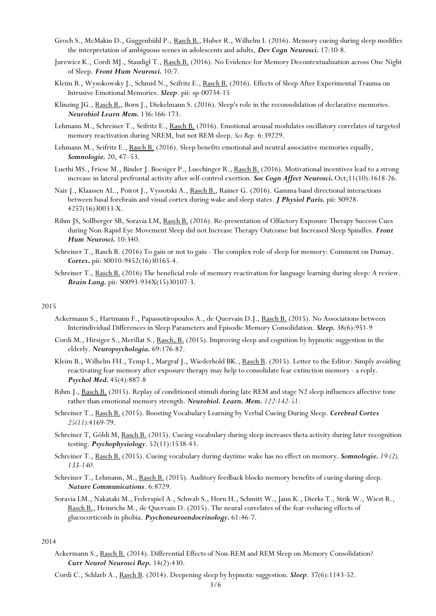- Groch S., McMakin D., Guggenbühl P., Rasch B., Huber R., Wilhelm I. (2016). Memory cueing during sleep modifies the interpretation of ambiguous scenes in adolescents and adults, Dev Cogn Neurosci. 17:10-8.
- Jurewicz K., Cordi MJ., Staudigl T., Rasch B. (2016). No Evidence for Memory Decontextualization across One Night of Sleep. Front Hum Neurosci. 10:7.
- Kleim B., Wysokowsky J., Schmid N., Seifritz E., Rasch B. (2016). Effects of Sleep After Experimental Trauma on Intrusive Emotional Memories. Sleep. pii: sp-00734-15
- Klinzing JG., Rasch B., Born J., Diekelmann S. (2016). Sleep's role in the reconsolidation of declarative memories. Neurobiol Learn Mem. 136:166-173.
- Lehmann M., Schreiner T., Seifritz E., Rasch B. (2016). Emotional arousal modulates oscillatory correlates of targeted memory reactivation during NREM, but not REM sleep. Sci Rep. 6:39229.
- Lehmann M., Seifritz E., Rasch B. (2016). Sleep benefits emotional and neutral associative memories equally, Somnologie. 20, 47–53.
- Luethi MS., Friese M., Binder J. Boesiger P., Luechinger R., Rasch B. (2016). Motivational incentives lead to a strong increase in lateral prefrontal activity after self-control exertion. Soc Cogn Affect Neurosci. Oct;11(10):1618-26.
- Nair J., Klaassen AL., Poirot J., Vyssotski A., Rasch B., Rainer G. (2016). Gamma band directional interactions between basal forebrain and visual cortex during wake and sleep states. *J Physiol Paris*. pii: S0928-4257(16)30033-X.
- Rihm JS, Sollberger SB, Soravia LM, Rasch B. (2016). Re-presentation of Olfactory Exposure Therapy Success Cues during Non-Rapid Eye Movement Sleep did not Increase Therapy Outcome but Increased Sleep Spindles. Front Hum Neurosci. 10:340.
- Schreiner T., Rasch B. (2016) To gain or not to gain The complex role of sleep for memory: Comment on Dumay. Cortex. pii: S0010-9452(16)30165-4.
- Schreiner T., Rasch B. (2016) The beneficial role of memory reactivation for language learning during sleep: A review. Brain Lang. pii: S0093-934X(15)30107-3.

- Ackermann S., Hartmann F., Papassotiropoulos A., de Quervain D.J., Rasch B. (2015). No Associations between Interindividual Differences in Sleep Parameters and Episodic Memory Consolidation. Sleep. 38(6):951-9
- Cordi M., Hirsiger S., Merillat S., Rasch, B. (2015). Improving sleep and cognition by hypnotic suggestion in the elderly. Neuropsychologia. 69:176-82.
- Kleim B., Wilhelm FH., Temp I., Margraf J., Wiederhold BK., Rasch B. (2015). Letter to the Editor: Simply avoiding reactivating fear memory after exposure therapy may help to consolidate fear extinction memory - a reply. Psychol Med. 45(4):887-8
- Rihm J., Rasch B. (2015). Replay of conditioned stimuli during late REM and stage N2 sleep influences affective tone rather than emotional memory strength. Neurobiol. Learn. Mem. 122:142-51.
- Schreiner T., Rasch B. (2015). Boosting Vocabulary Learning by Verbal Cueing During Sleep. Cerebral Cortex 25(11):4169-79.
- Schreiner T, Göldi M, Rasch B. (2015). Cueing vocabulary during sleep increases theta activity during later recognition testing. Psychophysiology. 52(11):1538-43.
- Schreiner T., Rasch B. (2015). Cueing vocabulary during daytime wake has no effect on memory. **Somnologie.** 19(2), 133-140.
- Schreiner T., Lehmann, M., Rasch B. (2015). Auditory feedback blocks memory benefits of cueing during sleep. Nature Communications. 6:8729.
- Soravia LM., Nakataki M., Federspiel A., Schwab S., Horn H., Schmitt W., Jann K., Dierks T., Strik W., Wiest R., Rasch B., Heinrichs M., de Quervain D. (2015). The neural correlates of the fear-reducing effects of glucocorticoids in phobia. Psychoneuroendocrinology. 61:46-7.

## 2014

Ackermann S., Rasch B. (2014). Differential Effects of Non-REM and REM Sleep on Memory Consolidation? Curr Neurol Neurosci Rep. 14(2):430.

Cordi C., Schlarb A., Rasch B. (2014). Deepening sleep by hypnotic suggestion. Sleep. 37(6):1143-52.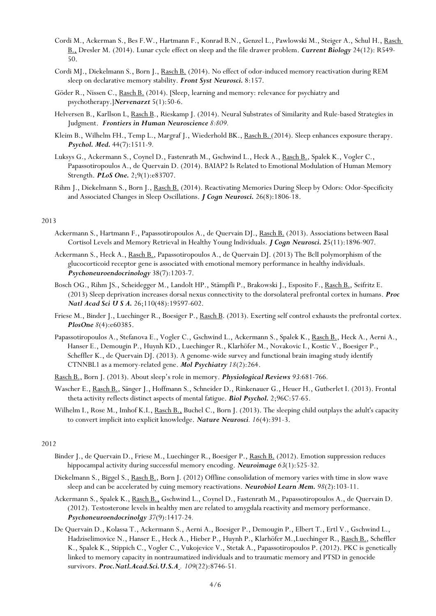- Cordi M., Ackerman S., Bes F.W., Hartmann F., Konrad B.N., Genzel L., Pawlowski M., Steiger A., Schul H., Rasch B., Dresler M. (2014). Lunar cycle effect on sleep and the file drawer problem. Current Biology 24(12): R549- 50.
- Cordi MJ., Diekelmann S., Born J., Rasch B. (2014). No effect of odor-induced memory reactivation during REM sleep on declarative memory stability. Front Syst Neurosci. 8:157.
- Göder R., Nissen C., Rasch B. (2014). [Sleep, learning and memory: relevance for psychiatry and psychotherapy.]Nervenarzt 5(1):50-6.
- Helversen B., Karllson L, Rasch B., Rieskamp J. (2014). Neural Substrates of Similarity and Rule-based Strategies in Judgment. Frontiers in Human Neuroscience 8:809.
- Kleim B., Wilhelm FH., Temp L., Margraf J., Wiederhold BK., Rasch B. (2014). Sleep enhances exposure therapy. Psychol. Med. 44(7):1511-9.
- Luksys G., Ackermann S., Coynel D., Fastenrath M., Gschwind L., Heck A., Rasch B., Spalek K., Vogler C., Papassotiropoulos A., de Quervain D. (2014). BAIAP2 Is Related to Emotional Modulation of Human Memory Strength. PLoS One. 2;9(1):e83707.
- Rihm J., Diekelmann S., Born J., Rasch B. (2014). Reactivating Memories During Sleep by Odors: Odor-Specificity and Associated Changes in Sleep Oscillations. *J Cogn Neurosci*. 26(8):1806-18.

- Ackermann S., Hartmann F., Papassotiropoulos A., de Quervain DJ., Rasch B. (2013). Associations between Basal Cortisol Levels and Memory Retrieval in Healthy Young Individuals. *J Cogn Neurosci*. 25(11):1896-907.
- Ackermann S., Heck A., Rasch B., Papassotiropoulos A., de Quervain DJ. (2013) The BclI polymorphism of the glucocorticoid receptor gene is associated with emotional memory performance in healthy individuals. Psychoneuroendocrinology 38(7):1203-7.
- Bosch OG., Rihm JS., Scheidegger M., Landolt HP., Stämpfli P., Brakowski J., Esposito F., Rasch B., Seifritz E. (2013) Sleep deprivation increases dorsal nexus connectivity to the dorsolateral prefrontal cortex in humans. Proc Natl Acad Sci U S A. 26;110(48):19597-602.
- Friese M., Binder J., Luechinger R., Boesiger P., Rasch B. (2013). Exerting self control exhausts the prefrontal cortex. PlosOne 8(4):e60385.
- Papassotiropoulos A., Stefanova E., Vogler C., Gschwind L., Ackermann S., Spalek K., Rasch B., Heck A., Aerni A., Hanser E., Demougin P., Huynh KD., Luechinger R., Klarhöfer M., Novakovic I., Kostic V., Boesiger P., Scheffler K., de Quervain DJ. (2013). A genome-wide survey and functional brain imaging study identify CTNNBL1 as a memory-related gene. Mol Psychiatry 18(2):264.
- Rasch B., Born J. (2013). About sleep's role in memory. Physiological Reviews 93:681-766.
- Wascher E., Rasch B., Sänger J., Hoffmann S., Schneider D., Rinkenauer G., Heuer H., Gutberlet I. (2013). Frontal theta activity reflects distinct aspects of mental fatigue. Biol Psychol. 2;96C:57-65.
- Wilhelm I., Rose M., Imhof K.I., Rasch B., Buchel C., Born J. (2013). The sleeping child outplays the adult's capacity to convert implicit into explicit knowledge. Nature Neurosci. 16(4):391-3.

## 2012

- Binder J., de Quervain D., Friese M., Luechinger R., Boesiger P., Rasch B. (2012). Emotion suppression reduces hippocampal activity during successful memory encoding. Neuroimage 63(1):525-32.
- Diekelmann S., Biggel S., Rasch B., Born J. (2012) Offline consolidation of memory varies with time in slow wave sleep and can be accelerated by cuing memory reactivations. Neurobiol Learn Mem.  $98(2):103-11$ .
- Ackermann S., Spalek K., Rasch B., Gschwind L., Coynel D., Fastenrath M., Papassotiropoulos A., de Quervain D. (2012). Testosterone levels in healthy men are related to amygdala reactivity and memory performance. Psychoneuroendocrinolgy 37(9):1417-24.
- De Quervain D., Kolassa T., Ackermann S., Aerni A., Boesiger P., Demougin P., Elbert T., Ertl V., Gschwind L., Hadziselimovice N., Hanser E., Heck A., Hieber P., Huynh P., Klarhöfer M.,Luechinger R., Rasch B., Scheffler K., Spalek K., Stippich C., Vogler C., Vukojevice V., Stetak A., Papassotiropoulos P. (2012). PKC is genetically linked to memory capacity in nontraumatized individuals and to traumatic memory and PTSD in genocide survivors. **Proc. Natl.Acad.Sci. U.S.A** . 109(22):8746-51.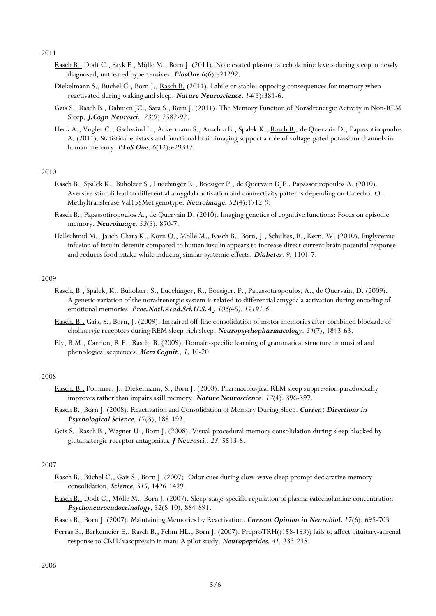- Rasch B., Dodt C., Sayk F., Mölle M., Born J. (2011). No elevated plasma catecholamine levels during sleep in newly diagnosed, untreated hypertensives. PlosOne 6(6):e21292.
- Diekelmann S., Büchel C., Born J., Rasch B. (2011). Labile or stable: opposing consequences for memory when reactivated during waking and sleep. Nature Neuroscience. 14(3):381-6.
- Gais S., Rasch B., Dahmen JC., Sara S., Born J. (2011). The Memory Function of Noradrenergic Activity in Non-REM Sleep. J.Cogn Neurosci., 23(9):2582-92.
- Heck A., Vogler C., Gschwind L., Ackermann S., Auschra B., Spalek K., Rasch B., de Quervain D., Papassotiropoulos A. (2011). Statistical epistasis and functional brain imaging support a role of voltage-gated potassium channels in human memory. **PLoS One.** 6(12):e29337.

- Rasch B., Spalek K., Buholzer S., Luechinger R., Boesiger P., de Quervain DJF., Papassotiropoulos A. (2010). Aversive stimuli lead to differential amygdala activation and connectivity patterns depending on Catechol-O-Methyltransferase Val158Met genotype. Neuroimage. 52(4):1712-9.
- Rasch B., Papassotiropoulos A., de Quervain D. (2010). Imaging genetics of cognitive functions: Focus on episodic memory. **Neuroimage.** 53(3), 870-7.
- Hallschmid M., Jauch-Chara K., Korn O., Mölle M., Rasch B., Born, J., Schultes, B., Kern, W. (2010). Euglycemic infusion of insulin detemir compared to human insulin appears to increase direct current brain potential response and reduces food intake while inducing similar systemic effects. Diabetes. 9, 1101-7.

## 2009

- Rasch, B., Spalek, K., Buholzer, S., Luechinger, R., Boesiger, P., Papassotiropoulos, A., de Quervain, D. (2009). A genetic variation of the noradrenergic system is related to differential amygdala activation during encoding of emotional memories. Proc.Natl.Acad.Sci.U.S.A . 106(45). 19191-6.
- Rasch, B., Gais, S., Born, J. (2009). Impaired off-line consolidation of motor memories after combined blockade of cholinergic receptors during REM sleep-rich sleep. Neuropsychopharmacology. 34(7), 1843-63.
- Bly, B.M., Carrion, R.E., Rasch, B. (2009). Domain-specific learning of grammatical structure in musical and phonological sequences. Mem Cognit., 1, 10-20.

## 2008

- Rasch, B., Pommer, J., Diekelmann, S., Born J. (2008). Pharmacological REM sleep suppression paradoxically improves rather than impairs skill memory. Nature Neuroscience. 12(4). 396-397.
- Rasch B., Born J. (2008). Reactivation and Consolidation of Memory During Sleep. Current Directions in Psychological Science, 17(3), 188-192.
- Gais S., Rasch B., Wagner U., Born J. (2008). Visual-procedural memory consolidation during sleep blocked by glutamatergic receptor antagonists. J Neurosci., 28, 5513-8.

## 2007

- Rasch B., Büchel C., Gais S., Born J. (2007). Odor cues during slow-wave sleep prompt declarative memory consolidation. Science, 315, 1426-1429.
- Rasch B., Dodt C., Mölle M., Born J. (2007). Sleep-stage-specific regulation of plasma catecholamine concentration. Psychoneuroendocrinology, 32(8-10), 884-891.
- Rasch B., Born J. (2007). Maintaining Memories by Reactivation. Current Opinion in Neurobiol. 17(6), 698-703
- Perras B., Berkemeier E., Rasch B., Fehm HL., Born J. (2007). PreproTRH((158-183)) fails to affect pituitary-adrenal response to CRH/vasopressin in man: A pilot study. Neuropeptides, 41, 233-238.